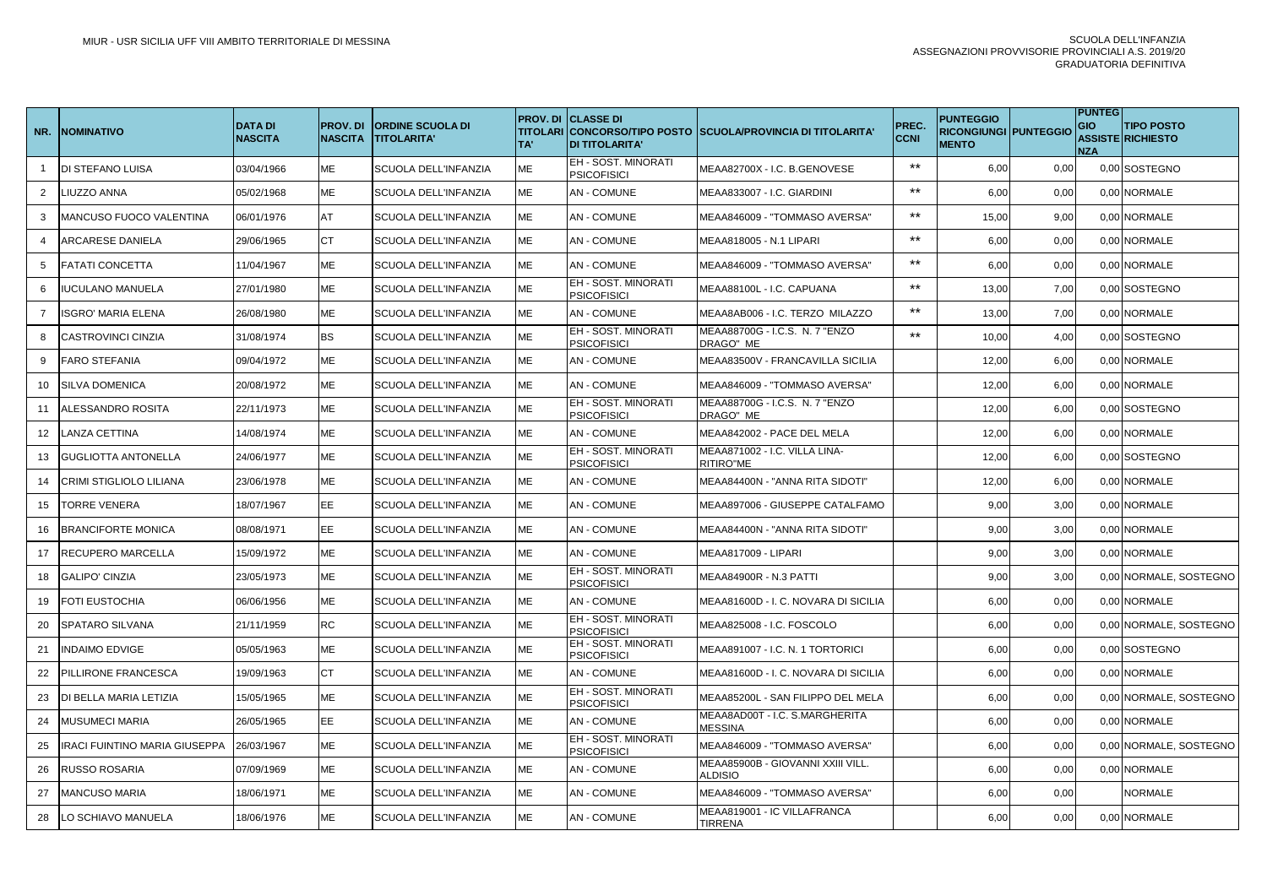| NR.            | <b>NOMINATIVO</b>                    | <b>DATA DI</b><br><b>NASCITA</b> | <b>PROV.DI</b><br><b>NASCITA</b> | <b>ORDINE SCUOLA DI</b><br><b>TITOLARITA'</b> | TA' | PROV. DI <b>CLASSE DI</b><br><b>DI TITOLARITA'</b> | TITOLARI CONCORSO/TIPO POSTO SSCUOLA/PROVINCIA DI TITOLARITA' | PREC.<br><b>CCNI</b> | <b>PUNTEGGIO</b><br><b>RICONGIUNGI PUNTEGGIO</b><br><b>MENTO</b> |      | <b>PUNTEG</b><br>GIO<br><b>NZA</b> | <b>TIPO POSTO</b><br>ASSISTE RICHIESTO |
|----------------|--------------------------------------|----------------------------------|----------------------------------|-----------------------------------------------|-----|----------------------------------------------------|---------------------------------------------------------------|----------------------|------------------------------------------------------------------|------|------------------------------------|----------------------------------------|
|                | <b>DI STEFANO LUISA</b>              | 03/04/1966                       | <b>ME</b>                        | SCUOLA DELL'INFANZIA                          | ME  | <b>EH - SOST. MINORATI</b><br><b>PSICOFISICI</b>   | MEAA82700X - I.C. B.GENOVESE                                  | $***$                | 6,00                                                             | 0,00 |                                    | 0,00 SOSTEGNO                          |
| $\overline{2}$ | <b>IUZZO ANNA</b>                    | 05/02/1968                       | ME                               | <b>SCUOLA DELL'INFANZIA</b>                   | МE  | <b>AN - COMUNE</b>                                 | MEAA833007 - I.C. GIARDINI                                    | $***$                | 6,00                                                             | 0,00 |                                    | 0,00 NORMALE                           |
| 3              | MANCUSO FUOCO VALENTINA              | 06/01/1976                       | AT                               | SCUOLA DELL'INFANZIA                          | ME  | <b>AN-COMUNE</b>                                   | MEAA846009 - "TOMMASO AVERSA"                                 | $***$                | 15,00                                                            | 9,00 |                                    | 0,00 NORMALE                           |
|                | <b>ARCARESE DANIELA</b>              | 29/06/1965                       | <b>CT</b>                        | SCUOLA DELL'INFANZIA                          | МE  | <b>AN - COMUNE</b>                                 | MEAA818005 - N.1 LIPARI                                       | $***$                | 6,00                                                             | 0,00 |                                    | 0,00 NORMALE                           |
| 5              | <b>FATATI CONCETTA</b>               | 11/04/1967                       | ME                               | <b>SCUOLA DELL'INFANZIA</b>                   | ME  | <b>AN-COMUNE</b>                                   | MEAA846009 - "TOMMASO AVERSA"                                 | $***$                | 6,00                                                             | 0,00 |                                    | 0,00 NORMALE                           |
| 6              | <b>IUCULANO MANUELA</b>              | 27/01/1980                       | МE                               | <b>SCUOLA DELL'INFANZIA</b>                   | МE  | EH - SOST. MINORATI<br><b>PSICOFISICI</b>          | MEAA88100L - I.C. CAPUANA                                     | $***$                | 13,00                                                            | 7,00 |                                    | 0,00 SOSTEGNO                          |
| $\overline{7}$ | <b>ISGRO' MARIA ELENA</b>            | 26/08/1980                       | ME                               | <b>SCUOLA DELL'INFANZIA</b>                   | ME  | <b>AN-COMUNE</b>                                   | MEAA8AB006 - I.C. TERZO MILAZZO                               | $***$                | 13,00                                                            | 7,00 |                                    | 0,00 NORMALE                           |
| 8              | ICASTROVINCI CINZIA                  | 31/08/1974                       | BS                               | SCUOLA DELL'INFANZIA                          | МE  | EH - SOST. MINORATI<br><b>PSICOFISICI</b>          | MEAA88700G - I.C.S. N. 7 "ENZO<br>DRAGO" ME                   | $***$                | 10,00                                                            | 4,00 |                                    | 0,00 SOSTEGNO                          |
| 9              | <b>FARO STEFANIA</b>                 | 09/04/1972                       | ME                               | <b>SCUOLA DELL'INFANZIA</b>                   | ME  | <b>AN-COMUNE</b>                                   | MEAA83500V - FRANCAVILLA SICILIA                              |                      | 12,00                                                            | 6,00 |                                    | 0,00 NORMALE                           |
| 10             | <b>SILVA DOMENICA</b>                | 20/08/1972                       | ME                               | SCUOLA DELL'INFANZIA                          | ME  | <b>AN - COMUNE</b>                                 | MEAA846009 - "TOMMASO AVERSA"                                 |                      | 12,00                                                            | 6,00 |                                    | 0,00 NORMALE                           |
| -11            | ALESSANDRO ROSITA                    | 22/11/1973                       | ME                               | SCUOLA DELL'INFANZIA                          | ME  | EH - SOST. MINORATI<br><b>PSICOFISICI</b>          | MEAA88700G - I.C.S. N. 7 "ENZO<br>DRAGO" ME                   |                      | 12,00                                                            | 6,00 |                                    | 0,00 SOSTEGNO                          |
| 12             | <b>LANZA CETTINA</b>                 | 14/08/1974                       | ME                               | SCUOLA DELL'INFANZIA                          | ME  | <b>AN - COMUNE</b>                                 | MEAA842002 - PACE DEL MELA                                    |                      | 12,00                                                            | 6,00 |                                    | 0,00 NORMALE                           |
| 13             | <b>GUGLIOTTA ANTONELLA</b>           | 24/06/1977                       | ME                               | SCUOLA DELL'INFANZIA                          | ME  | EH - SOST. MINORATI<br><b>PSICOFISICI</b>          | MEAA871002 - I.C. VILLA LINA-<br>RITIRO"ME                    |                      | 12,00                                                            | 6,00 |                                    | 0.00 SOSTEGNO                          |
| 14             | <b>CRIMI STIGLIOLO LILIANA</b>       | 23/06/1978                       | ME                               | SCUOLA DELL'INFANZIA                          | ME  | <b>AN - COMUNE</b>                                 | MEAA84400N - "ANNA RITA SIDOTI"                               |                      | 12,00                                                            | 6,00 |                                    | 0,00 NORMALE                           |
| 15             | <b>TORRE VENERA</b>                  | 18/07/1967                       | EE                               | SCUOLA DELL'INFANZIA                          | ME  | <b>AN - COMUNE</b>                                 | MEAA897006 - GIUSEPPE CATALFAMO                               |                      | 9,00                                                             | 3,00 |                                    | 0,00 NORMALE                           |
| 16             | <b>BRANCIFORTE MONICA</b>            | 08/08/1971                       | EE                               | SCUOLA DELL'INFANZIA                          | ME  | <b>AN - COMUNE</b>                                 | MEAA84400N - "ANNA RITA SIDOTI"                               |                      | 9,00                                                             | 3,00 |                                    | 0,00 NORMALE                           |
| 17             | <b>RECUPERO MARCELLA</b>             | 15/09/1972                       | ME                               | <b>SCUOLA DELL'INFANZIA</b>                   | ME  | <b>AN - COMUNE</b>                                 | <b>MEAA817009 - LIPARI</b>                                    |                      | 9,00                                                             | 3,00 |                                    | 0.00 NORMALE                           |
| 18             | <b>GALIPO' CINZIA</b>                | 23/05/1973                       | ME                               | <b>SCUOLA DELL'INFANZIA</b>                   | ME  | EH - SOST. MINORATI<br><b>PSICOFISICI</b>          | MEAA84900R - N.3 PATTI                                        |                      | 9,00                                                             | 3,00 |                                    | 0.00 NORMALE, SOSTEGNO                 |
| 19             | <b>FOTI EUSTOCHIA</b>                | 06/06/1956                       | ME                               | SCUOLA DELL'INFANZIA                          | МE  | <b>AN - COMUNE</b>                                 | MEAA81600D - I. C. NOVARA DI SICILIA                          |                      | 6,00                                                             | 0,00 |                                    | 0.00 NORMALE                           |
| 20             | <b>SPATARO SILVANA</b>               | 21/11/1959                       | <b>RC</b>                        | SCUOLA DELL'INFANZIA                          | ME  | <b>EH - SOST. MINORATI</b><br><b>PSICOFISICI</b>   | MEAA825008 - I.C. FOSCOLO                                     |                      | 6,00                                                             | 0,00 |                                    | 0,00 NORMALE, SOSTEGNO                 |
| 21             | <b>INDAIMO EDVIGE</b>                | 05/05/1963                       | ME                               | <b>SCUOLA DELL'INFANZIA</b>                   | МE  | EH - SOST. MINORATI<br><b>PSICOFISICI</b>          | MEAA891007 - I.C. N. 1 TORTORICI                              |                      | 6,00                                                             | 0,00 |                                    | 0,00 SOSTEGNO                          |
| 22             | <b>PILLIRONE FRANCESCA</b>           | 19/09/1963                       | <b>CT</b>                        | SCUOLA DELL'INFANZIA                          | ME  | <b>AN-COMUNE</b>                                   | MEAA81600D - I. C. NOVARA DI SICILIA                          |                      | 6,00                                                             | 0,00 |                                    | 0,00 NORMALE                           |
| 23             | DI BELLA MARIA LETIZIA               | 15/05/1965                       | ME                               | SCUOLA DELL'INFANZIA                          | МE  | <b>EH - SOST. MINORATI</b><br><b>PSICOFISICI</b>   | MEAA85200L - SAN FILIPPO DEL MELA                             |                      | 6,00                                                             | 0,00 |                                    | 0,00 NORMALE, SOSTEGNO                 |
| 24             | <b>MUSUMECI MARIA</b>                | 26/05/1965                       | EE.                              | SCUOLA DELL'INFANZIA                          | ME  | <b>AN-COMUNE</b>                                   | MEAA8AD00T - I.C. S.MARGHERITA<br>MESSINA                     |                      | 6,00                                                             | 0,00 |                                    | 0,00 NORMALE                           |
| 25             | <b>IRACI FUINTINO MARIA GIUSEPPA</b> | 26/03/1967                       | ME                               | SCUOLA DELL'INFANZIA                          | МE  | EH - SOST. MINORATI<br><b>PSICOFISICI</b>          | MEAA846009 - "TOMMASO AVERSA"                                 |                      | 6,00                                                             | 0,00 |                                    | 0,00 NORMALE, SOSTEGNO                 |
| 26             | <b>RUSSO ROSARIA</b>                 | 07/09/1969                       | ME                               | SCUOLA DELL'INFANZIA                          | ME  | <b>AN-COMUNE</b>                                   | MEAA85900B - GIOVANNI XXIII VILL.<br>ALDISIO                  |                      | 6,00                                                             | 0,00 |                                    | 0,00 NORMALE                           |
| 27             | <b>MANCUSO MARIA</b>                 | 18/06/1971                       | ME                               | SCUOLA DELL'INFANZIA                          | МE  | <b>AN - COMUNE</b>                                 | MEAA846009 - "TOMMASO AVERSA"                                 |                      | 6,00                                                             | 0,00 |                                    | NORMALE                                |
| 28             | LO SCHIAVO MANUELA                   | 18/06/1976                       | ME                               | SCUOLA DELL'INFANZIA                          | ME  | <b>AN - COMUNE</b>                                 | MEAA819001 - IC VILLAFRANCA<br><b>TIRRENA</b>                 |                      | 6,00                                                             | 0,00 |                                    | 0,00 NORMALE                           |